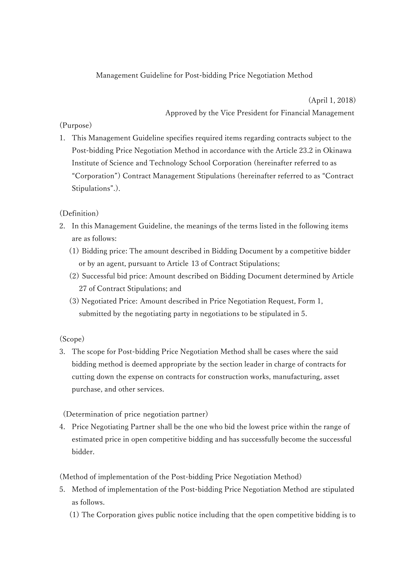# Management Guideline for Post-bidding Price Negotiation Method

 (April 1, 2018) Approved by the Vice President for Financial Management

## (Purpose)

1. This Management Guideline specifies required items regarding contracts subject to the Post-bidding Price Negotiation Method in accordance with the Article 23.2 in Okinawa Institute of Science and Technology School Corporation (hereinafter referred to as "Corporation") Contract Management Stipulations (hereinafter referred to as "Contract Stipulations".).

## (Definition)

- 2. In this Management Guideline, the meanings of the terms listed in the following items are as follows:
	- (1) Bidding price: The amount described in Bidding Document by a competitive bidder or by an agent, pursuant to Article 13 of Contract Stipulations;
	- (2) Successful bid price: Amount described on Bidding Document determined by Article 27 of Contract Stipulations; and
	- (3) Negotiated Price: Amount described in Price Negotiation Request, Form 1, submitted by the negotiating party in negotiations to be stipulated in 5.

### (Scope)

3. The scope for Post-bidding Price Negotiation Method shall be cases where the said bidding method is deemed appropriate by the section leader in charge of contracts for cutting down the expense on contracts for construction works, manufacturing, asset purchase, and other services.

(Determination of price negotiation partner)

4. Price Negotiating Partner shall be the one who bid the lowest price within the range of estimated price in open competitive bidding and has successfully become the successful bidder.

(Method of implementation of the Post-bidding Price Negotiation Method)

- 5. Method of implementation of the Post-bidding Price Negotiation Method are stipulated as follows.
	- (1) The Corporation gives public notice including that the open competitive bidding is to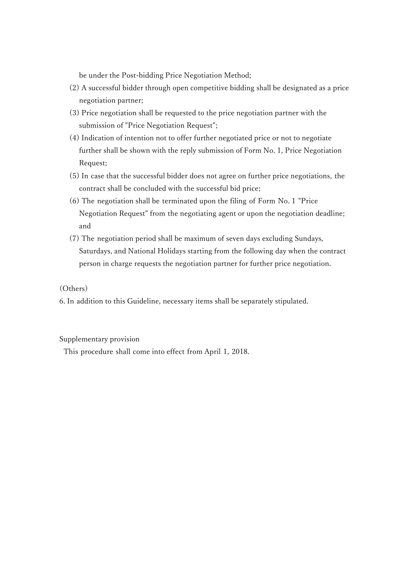be under the Post-bidding Price Negotiation Method;

- (2) A successful bidder through open competitive bidding shall be designated as a price negotiation partner;
- (3) Price negotiation shall be requested to the price negotiation partner with the submission of "Price Negotiation Request";
- (4) Indication of intention not to offer further negotiated price or not to negotiate further shall be shown with the reply submission of Form No. 1, Price Negotiation Request;
- (5) In case that the successful bidder does not agree on further price negotiations, the contract shall be concluded with the successful bid price;
- (6) The negotiation shall be terminated upon the filing of Form No. 1 "Price Negotiation Request" from the negotiating agent or upon the negotiation deadline; and
- (7) The negotiation period shall be maximum of seven days excluding Sundays, Saturdays, and National Holidays starting from the following day when the contract person in charge requests the negotiation partner for further price negotiation.

(Others)

6. In addition to this Guideline, necessary items shall be separately stipulated.

Supplementary provision

This procedure shall come into effect from April 1, 2018.